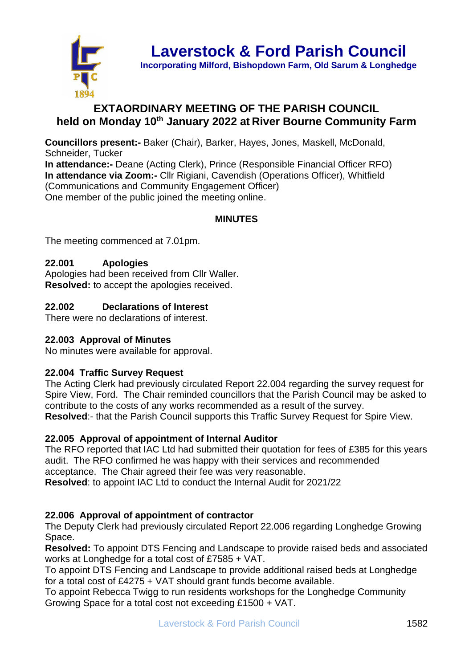

**Laverstock & Ford Parish Council**

**Incorporating Milford, Bishopdown Farm, Old Sarum & Longhedge**

# **EXTAORDINARY MEETING OF THE PARISH COUNCIL held on Monday 10th January 2022 at River Bourne Community Farm**

**Councillors present:-** Baker (Chair), Barker, Hayes, Jones, Maskell, McDonald, Schneider, Tucker **In attendance:-** Deane (Acting Clerk), Prince (Responsible Financial Officer RFO) **In attendance via Zoom:-** Cllr Rigiani, Cavendish (Operations Officer), Whitfield (Communications and Community Engagement Officer) One member of the public joined the meeting online.

# **MINUTES**

The meeting commenced at 7.01pm.

# **22.001 Apologies**

Apologies had been received from Cllr Waller. **Resolved:** to accept the apologies received.

# **22.002 Declarations of Interest**

There were no declarations of interest.

#### **22.003 Approval of Minutes**

No minutes were available for approval.

#### **22.004 Traffic Survey Request**

The Acting Clerk had previously circulated Report 22.004 regarding the survey request for Spire View, Ford. The Chair reminded councillors that the Parish Council may be asked to contribute to the costs of any works recommended as a result of the survey. **Resolved**:- that the Parish Council supports this Traffic Survey Request for Spire View.

#### **22.005 Approval of appointment of Internal Auditor**

The RFO reported that IAC Ltd had submitted their quotation for fees of £385 for this years audit. The RFO confirmed he was happy with their services and recommended acceptance. The Chair agreed their fee was very reasonable.

**Resolved**: to appoint IAC Ltd to conduct the Internal Audit for 2021/22

#### **22.006 Approval of appointment of contractor**

The Deputy Clerk had previously circulated Report 22.006 regarding Longhedge Growing Space.

**Resolved:** To appoint DTS Fencing and Landscape to provide raised beds and associated works at Longhedge for a total cost of £7585 + VAT.

To appoint DTS Fencing and Landscape to provide additional raised beds at Longhedge for a total cost of £4275 + VAT should grant funds become available.

To appoint Rebecca Twigg to run residents workshops for the Longhedge Community Growing Space for a total cost not exceeding £1500 + VAT.